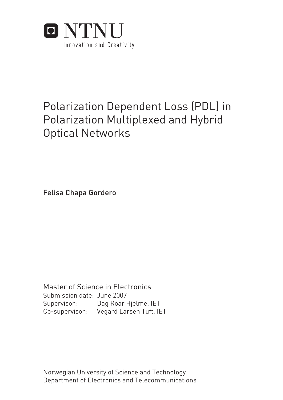

# Polarization Dependent Loss (PDL) in Polarization Multiplexed and Hybrid Optical Networks

Felisa Chapa Gordero

Submission date: June 2007 Dag Roar Hjelme, IET Supervisor: Co-supervisor: Vegard Larsen Tuft, IET Master of Science in Electronics

Norwegian University of Science and Technology Department of Electronics and Telecommunications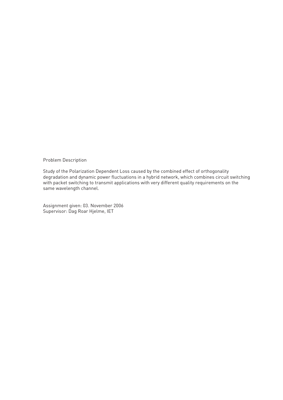Problem Description

Study of the Polarization Dependent Loss caused by the combined effect of orthogonality degradation and dynamic power fluctuations in a hybrid network, which combines circuit switching with packet switching to transmit applications with very different quality requirements on the same wavelength channel.

Assignment given: 03. November 2006 Supervisor: Dag Roar Hjelme, IET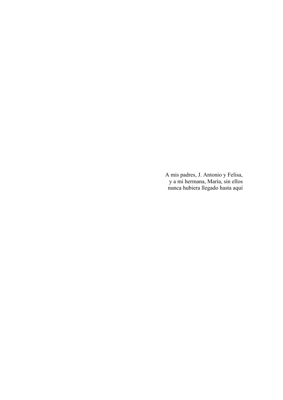A mis padres, J. Antonio y Felisa, y a mi hermana, María, sin ellos nunca hubiera llegado hasta aquí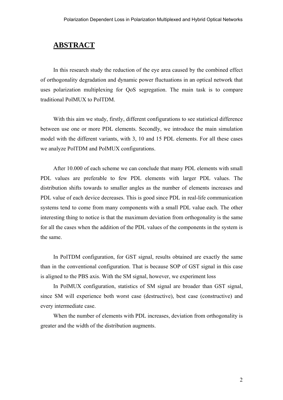## **ABSTRACT**

In this research study the reduction of the eye area caused by the combined effect of orthogonality degradation and dynamic power fluctuations in an optical network that uses polarization multiplexing for QoS segregation. The main task is to compare traditional PolMUX to PolTDM.

With this aim we study, firstly, different configurations to see statistical difference between use one or more PDL elements. Secondly, we introduce the main simulation model with the different variants, with 3, 10 and 15 PDL elements. For all these cases we analyze PolTDM and PolMUX configurations.

After 10.000 of each scheme we can conclude that many PDL elements with small PDL values are preferable to few PDL elements with larger PDL values. The distribution shifts towards to smaller angles as the number of elements increases and PDL value of each device decreases. This is good since PDL in real-life communication systems tend to come from many components with a small PDL value each. The other interesting thing to notice is that the maximum deviation from orthogonality is the same for all the cases when the addition of the PDL values of the components in the system is the same.

In PolTDM configuration, for GST signal, results obtained are exactly the same than in the conventional configuration. That is because SOP of GST signal in this case is aligned to the PBS axis. With the SM signal, however, we experiment loss

In PolMUX configuration, statistics of SM signal are broader than GST signal, since SM will experience both worst case (destructive), best case (constructive) and every intermediate case.

When the number of elements with PDL increases, deviation from orthogonality is greater and the width of the distribution augments.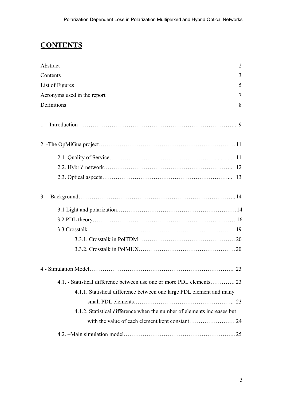## **CONTENTS**

| Abstract<br>2                                                           |
|-------------------------------------------------------------------------|
| Contents<br>3                                                           |
| List of Figures<br>5                                                    |
| Acronyms used in the report<br>7                                        |
| Definitions<br>8                                                        |
|                                                                         |
|                                                                         |
|                                                                         |
|                                                                         |
| 13                                                                      |
|                                                                         |
|                                                                         |
|                                                                         |
|                                                                         |
|                                                                         |
|                                                                         |
|                                                                         |
|                                                                         |
| 4.1. - Statistical difference between use one or more PDL elements 23   |
| 4.1.1. Statistical difference between one large PDL element and many    |
|                                                                         |
| 4.1.2. Statistical difference when the number of elements increases but |
|                                                                         |
|                                                                         |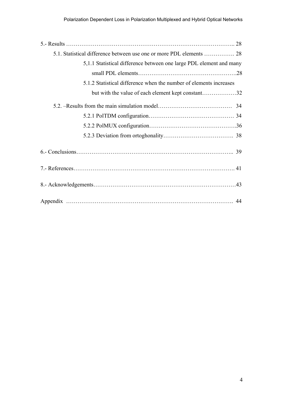| 5,1.1 Statistical difference between one large PDL element and many |
|---------------------------------------------------------------------|
|                                                                     |
| 5.1.2 Statistical difference when the number of elements increases  |
| but with the value of each element kept constant32                  |
|                                                                     |
|                                                                     |
|                                                                     |
|                                                                     |
|                                                                     |
|                                                                     |
|                                                                     |
|                                                                     |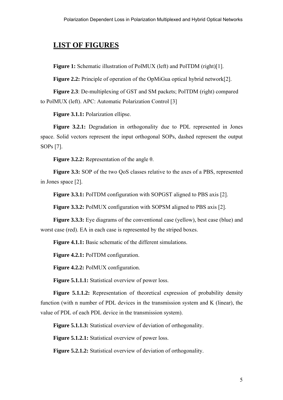## **LIST OF FIGURES**

**Figure 1:** Schematic illustration of PolMUX (left) and PolTDM (right)[1].

**Figure 2.2:** Principle of operation of the OpMiGua optical hybrid network[2].

**Figure 2.3**: De-multiplexing of GST and SM packets; PolTDM (right) compared to PolMUX (left). APC: Automatic Polarization Control [3]

**Figure 3.1.1:** Polarization ellipse.

**Figure 3.2.1:** Degradation in orthogonality due to PDL represented in Jones space. Solid vectors represent the input orthogonal SOPs, dashed represent the output SOPs [7].

**Figure 3.2.2:** Representation of the angle θ.

**Figure 3.3:** SOP of the two OoS classes relative to the axes of a PBS, represented in Jones space [2].

**Figure 3.3.1:** PolTDM configuration with SOPGST aligned to PBS axis [2].

**Figure 3.3.2:** PolMUX configuration with SOPSM aligned to PBS axis [2].

**Figure 3.3.3:** Eye diagrams of the conventional case (yellow), best case (blue) and worst case (red). EA in each case is represented by the striped boxes.

**Figure 4.1.1:** Basic schematic of the different simulations.

**Figure 4.2.1:** PolTDM configuration.

**Figure 4.2.2:** PolMUX configuration.

**Figure 5.1.1.1:** Statistical overview of power loss.

**Figure 5.1.1.2:** Representation of theoretical expression of probability density function (with n number of PDL devices in the transmission system and K (linear), the value of PDL of each PDL device in the transmission system).

**Figure 5.1.1.3:** Statistical overview of deviation of orthogonality.

**Figure 5.1.2.1:** Statistical overview of power loss.

**Figure 5.2.1.2:** Statistical overview of deviation of orthogonality.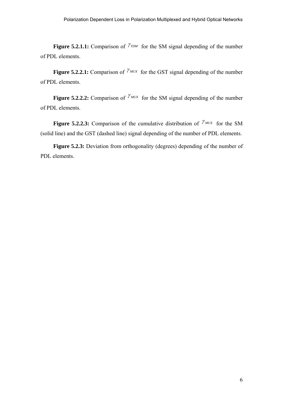**Figure 5.2.1.1:** Comparison of  $\gamma_{TDM}$  for the SM signal depending of the number of PDL elements.

**Figure 5.2.2.1:** Comparison of  $\gamma_{MUX}$  for the GST signal depending of the number of PDL elements.

**Figure 5.2.2.2:** Comparison of  $\gamma_{MUX}$  for the SM signal depending of the number of PDL elements.

**Figure 5.2.2.3:** Comparison of the cumulative distribution of  $\gamma_{MUX}$  for the SM (solid line) and the GST (dashed line) signal depending of the number of PDL elements.

**Figure 5.2.3:** Deviation from orthogonality (degrees) depending of the number of PDL elements.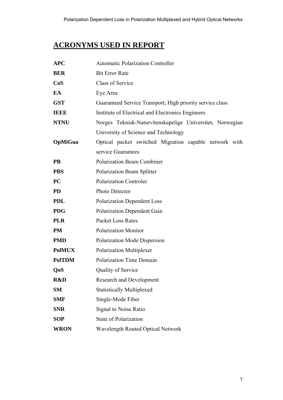## **ACRONYMS USED IN REPORT**

| <b>APC</b>     | <b>Automatic Polarization Controller</b>                  |  |  |
|----------------|-----------------------------------------------------------|--|--|
| <b>BER</b>     | <b>Bit Error Rate</b>                                     |  |  |
| CoS            | <b>Class of Service</b>                                   |  |  |
| EA             | Eye Area                                                  |  |  |
| <b>GST</b>     | Guaranteed Service Transport, High priority service class |  |  |
| <b>IEEE</b>    | Institute of Electrical and Electronics Engineers         |  |  |
| <b>NTNU</b>    | Norges Teknisk-Naturvitenskapelige Universitet, Norwegian |  |  |
|                | University of Science and Technology                      |  |  |
| <b>OpMiGua</b> | Optical packet switched Migration capable network with    |  |  |
|                | service Guarantees                                        |  |  |
| <b>PB</b>      | <b>Polarization Beam Combiner</b>                         |  |  |
| <b>PBS</b>     | Polarization Beam Splitter                                |  |  |
| <b>PC</b>      | <b>Polarization Controler</b>                             |  |  |
| <b>PD</b>      | Photo Detector                                            |  |  |
| <b>PDL</b>     | <b>Polarization Dependent Loss</b>                        |  |  |
| <b>PDG</b>     | <b>Polarization Dependent Gain</b>                        |  |  |
| <b>PLR</b>     | <b>Packet Loss Rates</b>                                  |  |  |
| <b>PM</b>      | Polarization Monitor                                      |  |  |
| <b>PMD</b>     | Polarization Mode Dispersion                              |  |  |
| <b>PolMUX</b>  | Polarization Multiplexer                                  |  |  |
| <b>PolTDM</b>  | <b>Polarization Time Domain</b>                           |  |  |
| QoS            | Quality of Service                                        |  |  |
| R&D            | <b>Research and Development</b>                           |  |  |
| <b>SM</b>      | <b>Statistically Multiplexed</b>                          |  |  |
| <b>SMF</b>     | Single-Mode Fiber                                         |  |  |
| <b>SNR</b>     | Signal to Noise Ratio                                     |  |  |
| <b>SOP</b>     | <b>State of Polarization</b>                              |  |  |
| <b>WRON</b>    | <b>Wavelength Routed Optical Network</b>                  |  |  |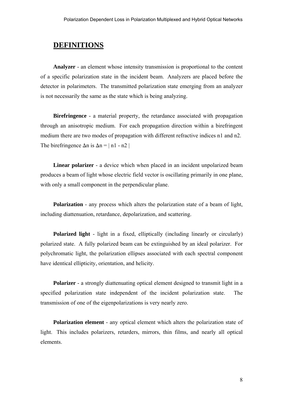## **DEFINITIONS**

**Analyzer** - an element whose intensity transmission is proportional to the content of a specific polarization state in the incident beam. Analyzers are placed before the detector in polarimeters. The transmitted polarization state emerging from an analyzer is not necessarily the same as the state which is being analyzing.

**Birefringence** - a material property, the retardance associated with propagation through an anisotropic medium. For each propagation direction within a birefringent medium there are two modes of propagation with different refractive indices n1 and n2. The birefringence  $\Delta n$  is  $\Delta n = |n1 - n2|$ 

**Linear polarizer** - a device which when placed in an incident unpolarized beam produces a beam of light whose electric field vector is oscillating primarily in one plane, with only a small component in the perpendicular plane.

**Polarization** - any process which alters the polarization state of a beam of light, including diattenuation, retardance, depolarization, and scattering.

**Polarized light** - light in a fixed, elliptically (including linearly or circularly) polarized state. A fully polarized beam can be extinguished by an ideal polarizer. For polychromatic light, the polarization ellipses associated with each spectral component have identical ellipticity, orientation, and helicity.

**Polarizer** - a strongly diattenuating optical element designed to transmit light in a specified polarization state independent of the incident polarization state. The transmission of one of the eigenpolarizations is very nearly zero.

**Polarization element** - any optical element which alters the polarization state of light. This includes polarizers, retarders, mirrors, thin films, and nearly all optical elements.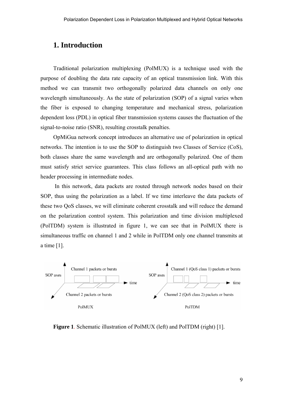## **1. Introduction**

Traditional polarization multiplexing (PolMUX) is a technique used with the purpose of doubling the data rate capacity of an optical transmission link. With this method we can transmit two orthogonally polarized data channels on only one wavelength simultaneously. As the state of polarization (SOP) of a signal varies when the fiber is exposed to changing temperature and mechanical stress, polarization dependent loss (PDL) in optical fiber transmission systems causes the fluctuation of the signal-to-noise ratio (SNR), resulting crosstalk penalties.

OpMiGua network concept introduces an alternative use of polarization in optical networks. The intention is to use the SOP to distinguish two Classes of Service (CoS), both classes share the same wavelength and are orthogonally polarized. One of them must satisfy strict service guarantees. This class follows an all-optical path with no header processing in intermediate nodes.

 In this network, data packets are routed through network nodes based on their SOP, thus using the polarization as a label. If we time interleave the data packets of these two QoS classes, we will eliminate coherent crosstalk and will reduce the demand on the polarization control system. This polarization and time division multiplexed (PolTDM) system is illustrated in figure 1, we can see that in PolMUX there is simultaneous traffic on channel 1 and 2 while in PolTDM only one channel transmits at a time [1].



**Figure 1**. Schematic illustration of PolMUX (left) and PolTDM (right) [1].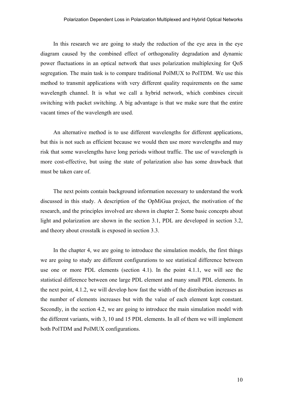In this research we are going to study the reduction of the eye area in the eye diagram caused by the combined effect of orthogonality degradation and dynamic power fluctuations in an optical network that uses polarization multiplexing for QoS segregation. The main task is to compare traditional PolMUX to PolTDM. We use this method to transmit applications with very different quality requirements on the same wavelength channel. It is what we call a hybrid network, which combines circuit switching with packet switching. A big advantage is that we make sure that the entire vacant times of the wavelength are used.

An alternative method is to use different wavelengths for different applications, but this is not such as efficient because we would then use more wavelengths and may risk that some wavelengths have long periods without traffic. The use of wavelength is more cost-effective, but using the state of polarization also has some drawback that must be taken care of.

The next points contain background information necessary to understand the work discussed in this study. A description of the OpMiGua project, the motivation of the research, and the principles involved are shown in chapter 2. Some basic concepts about light and polarization are shown in the section 3.1, PDL are developed in section 3.2, and theory about crosstalk is exposed in section 3.3.

In the chapter 4, we are going to introduce the simulation models, the first things we are going to study are different configurations to see statistical difference between use one or more PDL elements (section 4.1). In the point 4.1.1, we will see the statistical difference between one large PDL element and many small PDL elements. In the next point, 4.1.2, we will develop how fast the width of the distribution increases as the number of elements increases but with the value of each element kept constant. Secondly, in the section 4.2, we are going to introduce the main simulation model with the different variants, with 3, 10 and 15 PDL elements. In all of them we will implement both PolTDM and PolMUX configurations.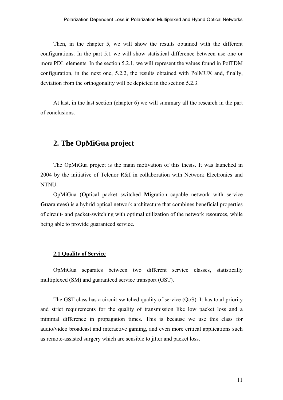Then, in the chapter 5, we will show the results obtained with the different configurations. In the part 5.1 we will show statistical difference between use one or more PDL elements. In the section 5.2.1, we will represent the values found in PolTDM configuration, in the next one, 5.2.2, the results obtained with PolMUX and, finally, deviation from the orthogonality will be depicted in the section 5.2.3.

At last, in the last section (chapter 6) we will summary all the research in the part of conclusions.

## **2. The OpMiGua project**

The OpMiGua project is the main motivation of this thesis. It was launched in 2004 by the initiative of Telenor R&I in collaboration with Network Electronics and NTNU.

OpMiGua (**Op**tical packet switched **Mi**gration capable network with service **Gua**rantees) is a hybrid optical network architecture that combines beneficial properties of circuit- and packet-switching with optimal utilization of the network resources, while being able to provide guaranteed service.

#### **2.1 Quality of Service**

OpMiGua separates between two different service classes, statistically multiplexed (SM) and guaranteed service transport (GST).

The GST class has a circuit-switched quality of service (QoS). It has total priority and strict requirements for the quality of transmission like low packet loss and a minimal difference in propagation times. This is because we use this class for audio/video broadcast and interactive gaming, and even more critical applications such as remote-assisted surgery which are sensible to jitter and packet loss.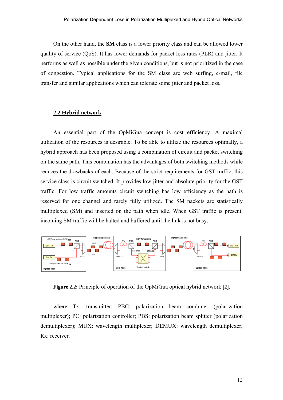On the other hand, the **SM** class is a lower priority class and can be allowed lower quality of service (QoS). It has lower demands for packet loss rates (PLR) and jitter. It performs as well as possible under the given conditions, but is not prioritized in the case of congestion. Typical applications for the SM class are web surfing, e-mail, file transfer and similar applications which can tolerate some jitter and packet loss.

#### **2.2 Hybrid network**

An essential part of the OpMiGua concept is cost efficiency. A maximal utilization of the resources is desirable. To be able to utilize the resources optimally, a hybrid approach has been proposed using a combination of circuit and packet switching on the same path. This combination has the advantages of both switching methods while reduces the drawbacks of each. Because of the strict requirements for GST traffic, this service class is circuit switched. It provides low jitter and absolute priority for the GST traffic. For low traffic amounts circuit switching has low efficiency as the path is reserved for one channel and rarely fully utilized. The SM packets are statistically multiplexed (SM) and inserted on the path when idle. When GST traffic is present, incoming SM traffic will be halted and buffered until the link is not busy.



**Figure 2.2:** Principle of operation of the OpMiGua optical hybrid network [2].

where Tx: transmitter; PBC: polarization beam combiner (polarization multiplexer); PC: polarization controller; PBS: polarization beam splitter (polarization demultiplexer); MUX: wavelength multiplexer; DEMUX: wavelength demultiplexer; Rx: receiver.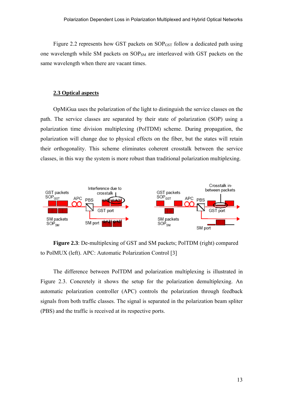Figure 2.2 represents how GST packets on SOP<sub>GST</sub> follow a dedicated path using one wavelength while SM packets on SOP<sub>SM</sub> are interleaved with GST packets on the same wavelength when there are vacant times.

#### **2.3 Optical aspects**

OpMiGua uses the polarization of the light to distinguish the service classes on the path. The service classes are separated by their state of polarization (SOP) using a polarization time division multiplexing (PolTDM) scheme. During propagation, the polarization will change due to physical effects on the fiber, but the states will retain their orthogonality. This scheme eliminates coherent crosstalk between the service classes, in this way the system is more robust than traditional polarization multiplexing.



**Figure 2.3**: De-multiplexing of GST and SM packets; PolTDM (right) compared to PolMUX (left). APC: Automatic Polarization Control [3]

The difference between PolTDM and polarization multiplexing is illustrated in Figure 2.3. Concretely it shows the setup for the polarization demultiplexing. An automatic polarization controller (APC) controls the polarization through feedback signals from both traffic classes. The signal is separated in the polarization beam spliter (PBS) and the traffic is received at its respective ports.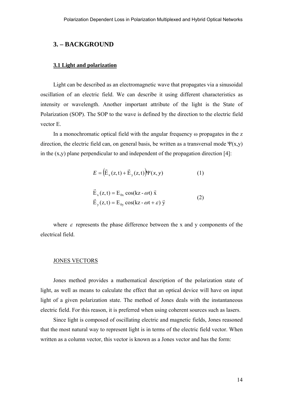## **3. – BACKGROUND**

#### **3.1 Light and polarization**

Light can be described as an electromagnetic wave that propagates via a sinusoidal oscillation of an electric field. We can describe it using different characteristics as intensity or wavelength. Another important attribute of the light is the State of Polarization (SOP). The SOP to the wave is defined by the direction to the electric field vector E.

In a monochromatic optical field with the angular frequency ω propagates in the z direction, the electric field can, on general basis, be written as a transversal mode  $\Psi(x,y)$ in the  $(x,y)$  plane perpendicular to and independent of the propagation direction [4]:

$$
E = \left(\vec{E}_x(z,t) + \vec{E}_y(z,t)\right) \Psi(x,y) \tag{1}
$$

$$
\vec{E}_x(z,t) = E_{0x} \cos(kz - \omega t) \vec{x}
$$
  
\n
$$
\vec{E}_y(z,t) = E_{0y} \cos(kz - \omega t + \varepsilon) \vec{y}
$$
\n(2)

where  $\varepsilon$  represents the phase difference between the x and y components of the electrical field.

#### JONES VECTORS

Jones method provides a mathematical description of the polarization state of light, as well as means to calculate the effect that an optical device will have on input light of a given polarization state. The method of Jones deals with the instantaneous electric field. For this reason, it is preferred when using coherent sources such as lasers.

Since light is composed of oscillating electric and magnetic fields, Jones reasoned that the most natural way to represent light is in terms of the electric field vector. When written as a column vector, this vector is known as a Jones vector and has the form: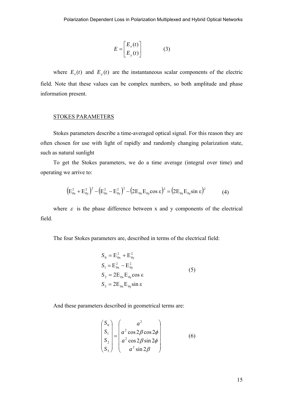$$
E = \begin{bmatrix} E_x(t) \\ E_y(t) \end{bmatrix} \tag{3}
$$

where  $E_x(t)$  and  $E_y(t)$  are the instantaneous scalar components of the electric field. Note that these values can be complex numbers, so both amplitude and phase information present.

#### STOKES PARAMETERS

Stokes parameters describe a time-averaged optical signal. For this reason they are often chosen for use with light of rapidly and randomly changing polarization state, such as natural sunlight

To get the Stokes parameters, we do a time average (integral over time) and operating we arrive to:

$$
(E_{0x}^2 + E_{0y}^2)^2 - (E_{0x}^2 - E_{0y}^2)^2 - (2E_{0x}E_{0y}\cos\epsilon)^2 = (2E_{0x}E_{0y}\sin\epsilon)^2
$$
 (4)

where  $\varepsilon$  is the phase difference between x and y components of the electrical field.

The four Stokes parameters are, described in terms of the electrical field:

$$
S_0 = E_{0x}^2 + E_{0y}^2
$$
  
\n
$$
S_1 = E_{0x}^2 - E_{0y}^2
$$
  
\n
$$
S_2 = 2E_{0x}E_{0y}\cos \varepsilon
$$
  
\n
$$
S_3 = 2E_{0x}E_{0y}\sin \varepsilon
$$
\n(5)

And these parameters described in geometrical terms are:

$$
\begin{pmatrix}\nS_0 \\
S_1 \\
S_2 \\
S_3\n\end{pmatrix} = \begin{pmatrix}\na^2 \\
a^2 \cos 2\beta \cos 2\phi \\
a^2 \cos 2\beta \sin 2\phi \\
a^2 \sin 2\beta\n\end{pmatrix}
$$
\n(6)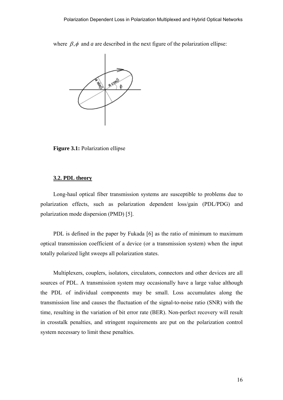where  $\beta$ , $\phi$  and *a* are described in the next figure of the polarization ellipse:



**Figure 3.1:** Polarization ellipse

#### **3.2. PDL theory**

Long-haul optical fiber transmission systems are susceptible to problems due to polarization effects, such as polarization dependent loss/gain (PDL/PDG) and polarization mode dispersion (PMD) [5].

PDL is defined in the paper by Fukada [6] as the ratio of minimum to maximum optical transmission coefficient of a device (or a transmission system) when the input totally polarized light sweeps all polarization states.

Multiplexers, couplers, isolators, circulators, connectors and other devices are all sources of PDL. A transmission system may occasionally have a large value although the PDL of individual components may be small. Loss accumulates along the transmission line and causes the fluctuation of the signal-to-noise ratio (SNR) with the time, resulting in the variation of bit error rate (BER). Non-perfect recovery will result in crosstalk penalties, and stringent requirements are put on the polarization control system necessary to limit these penalties.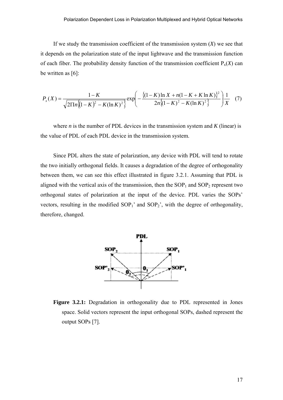If we study the transmission coefficient of the transmission system  $(X)$  we see that it depends on the polarization state of the input lightwave and the transmission function of each fiber. The probability density function of the transmission coefficient  $P_x(X)$  can be written as [6]:

$$
P_x(X) = \frac{1-K}{\sqrt{2\pi\ln[(1-K)^2 - K(\ln K)^2]}} \exp\left(-\frac{\left\{(1-K)\ln X + n(1-K+K\ln K)\right\}^2}{2n\left\{(1-K)^2 - K(\ln K)^2\right\}}\right)\frac{1}{X} \quad (7)
$$

where  $n$  is the number of PDL devices in the transmission system and  $K$  (linear) is the value of PDL of each PDL device in the transmission system.

Since PDL alters the state of polarization, any device with PDL will tend to rotate the two initially orthogonal fields. It causes a degradation of the degree of orthogonality between them, we can see this effect illustrated in figure 3.2.1. Assuming that PDL is aligned with the vertical axis of the transmission, then the  $SOP<sub>1</sub>$  and  $SOP<sub>2</sub>$  represent two orthogonal states of polarization at the input of the device. PDL varies the SOPs' vectors, resulting in the modified  $SOP_1$ ' and  $SOP_2$ ', with the degree of orthogonality, therefore, changed.



**Figure 3.2.1:** Degradation in orthogonality due to PDL represented in Jones space. Solid vectors represent the input orthogonal SOPs, dashed represent the output SOPs [7].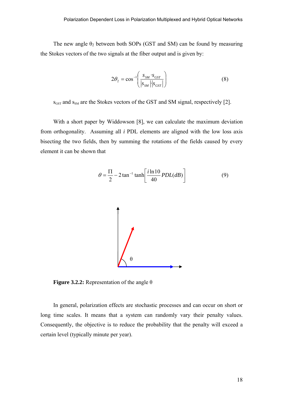The new angle  $\theta_2$  between both SOPs (GST and SM) can be found by measuring the Stokes vectors of the two signals at the fiber output and is given by:

$$
2\theta_2 = \cos^{-1}\left(\frac{s_{SM} \cdot s_{GST}}{|s_{SM}| \cdot |s_{GST}|}\right) \tag{8}
$$

 $s<sub>GST</sub>$  and  $s<sub>SM</sub>$  are the Stokes vectors of the GST and SM signal, respectively [2].

With a short paper by Widdowson [8], we can calculate the maximum deviation from orthogonality. Assuming all *i* PDL elements are aligned with the low loss axis bisecting the two fields, then by summing the rotations of the fields caused by every element it can be shown that



**Figure 3.2.2:** Representation of the angle θ

In general, polarization effects are stochastic processes and can occur on short or long time scales. It means that a system can randomly vary their penalty values. Consequently, the objective is to reduce the probability that the penalty will exceed a certain level (typically minute per year).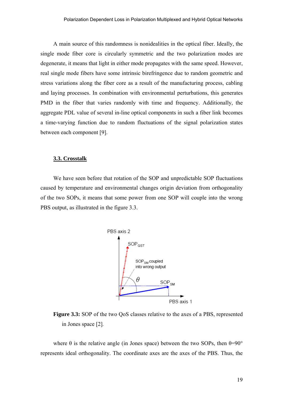A main source of this randomness is nonidealities in the optical fiber. Ideally, the single mode fiber core is circularly symmetric and the two polarization modes are degenerate, it means that light in either mode propagates with the same speed. However, real single mode fibers have some intrinsic birefringence due to random geometric and stress variations along the fiber core as a result of the manufacturing process, cabling and laying processes. In combination with environmental perturbations, this generates PMD in the fiber that varies randomly with time and frequency. Additionally, the aggregate PDL value of several in-line optical components in such a fiber link becomes a time-varying function due to random fluctuations of the signal polarization states between each component [9].

#### **3.3. Crosstalk**

We have seen before that rotation of the SOP and unpredictable SOP fluctuations caused by temperature and environmental changes origin deviation from orthogonality of the two SOPs, it means that some power from one SOP will couple into the wrong PBS output, as illustrated in the figure 3.3.



**Figure 3.3:** SOP of the two QoS classes relative to the axes of a PBS, represented in Jones space [2]*.* 

where  $\theta$  is the relative angle (in Jones space) between the two SOPs, then  $\theta$ =90° represents ideal orthogonality. The coordinate axes are the axes of the PBS. Thus, the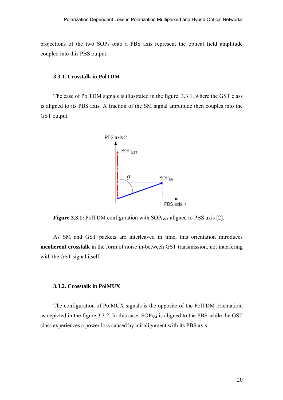projections of the two SOPs onto a PBS axis represent the optical field amplitude coupled into this PBS output.

#### **3.3.1. Crosstalk in PolTDM**

The case of PolTDM signals is illustrated in the figure. 3.3.1, where the GST class is aligned to its PBS axis. A fraction of the SM signal amplitude then couples into the GST output.



**Figure 3.3.1:** PolTDM configuration with SOP<sub>GST</sub> aligned to PBS axis [2].

As SM and GST packets are interleaved in time, this orientation introduces **incoherent crosstalk** in the form of noise in-between GST transmission, not interfering with the GST signal itself.

#### **3.3.2. Crosstalk in PolMUX**

The configuration of PolMUX signals is the opposite of the PolTDM orientation, as depicted in the figure 3.3.2. In this case,  $SOP<sub>SM</sub>$  is aligned to the PBS while the GST class experiences a power loss caused by misalignment with its PBS axis.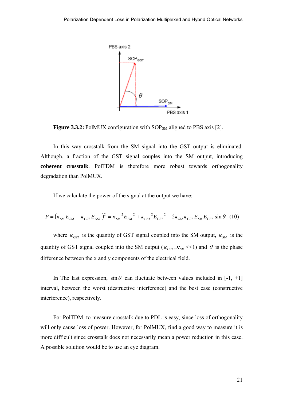

**Figure 3.3.2:** PolMUX configuration with SOP<sub>SM</sub> aligned to PBS axis [2].

In this way crosstalk from the SM signal into the GST output is eliminated. Although, a fraction of the GST signal couples into the SM output, introducing **coherent crosstalk**. PolTDM is therefore more robust towards orthogonality degradation than PolMUX.

If we calculate the power of the signal at the output we have:

$$
P = (\kappa_{SM} E_{SM} + \kappa_{GST} E_{GST})^2 = \kappa_{SM}^2 E_{SM}^2 + \kappa_{GST}^2 E_{GST}^2 + 2\kappa_{SM} \kappa_{GST} E_{SM} E_{GST} \sin \theta
$$
 (10)

where  $\kappa_{GST}$  is the quantity of GST signal coupled into the SM output,  $\kappa_{SM}$  is the quantity of GST signal coupled into the SM output ( $\kappa_{\text{GST}}$ ,  $\kappa_{\text{SM}}$  <<1) and  $\theta$  is the phase difference between the x and y components of the electrical field.

In The last expression,  $\sin \theta$  can fluctuate between values included in [-1, +1] interval, between the worst (destructive interference) and the best case (constructive interference), respectively.

For PolTDM, to measure crosstalk due to PDL is easy, since loss of orthogonality will only cause loss of power. However, for PolMUX, find a good way to measure it is more difficult since crosstalk does not necessarily mean a power reduction in this case. A possible solution would be to use an eye diagram.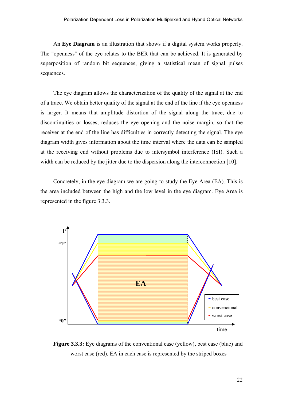An **Eye Diagram** is an illustration that shows if a digital system works properly. The "openness" of the eye relates to the BER that can be achieved. It is generated by superposition of random bit sequences, giving a statistical mean of signal pulses sequences.

The eye diagram allows the characterization of the quality of the signal at the end of a trace. We obtain better quality of the signal at the end of the line if the eye openness is larger. It means that amplitude distortion of the signal along the trace, due to discontinuities or losses, reduces the eye opening and the noise margin, so that the receiver at the end of the line has difficulties in correctly detecting the signal. The eye diagram width gives information about the time interval where the data can be sampled at the receiving end without problems due to intersymbol interference (ISI). Such a width can be reduced by the jitter due to the dispersion along the interconnection [10].

Concretely, in the eye diagram we are going to study the Eye Area (EA). This is the area included between the high and the low level in the eye diagram. Eye Area is represented in the figure 3.3.3.



**Figure 3.3.3:** Eye diagrams of the conventional case (yellow), best case (blue) and worst case (red). EA in each case is represented by the striped boxes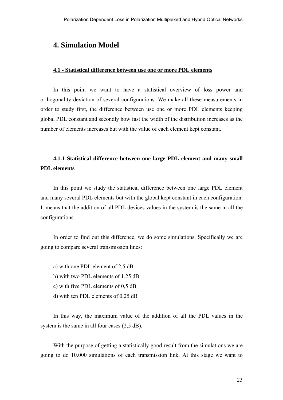## **4. Simulation Model**

#### **4.1 - Statistical difference between use one or more PDL elements**

In this point we want to have a statistical overview of loss power and orthogonality deviation of several configurations. We make all these measurements in order to study first, the difference between use one or more PDL elements keeping global PDL constant and secondly how fast the width of the distribution increases as the number of elements increases but with the value of each element kept constant.

## **4.1.1 Statistical difference between one large PDL element and many small PDL elements**

In this point we study the statistical difference between one large PDL element and many several PDL elements but with the global kept constant in each configuration. It means that the addition of all PDL devices values in the system is the same in all the configurations.

In order to find out this difference, we do some simulations. Specifically we are going to compare several transmission lines:

- a) with one PDL element of 2,5 dB
- b) with two PDL elements of 1,25 dB
- c) with five PDL elements of 0,5 dB
- d) with ten PDL elements of 0,25 dB

In this way, the maximum value of the addition of all the PDL values in the system is the same in all four cases  $(2,5$  dB).

With the purpose of getting a statistically good result from the simulations we are going to do 10.000 simulations of each transmission link. At this stage we want to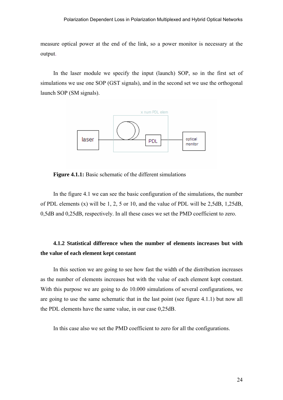measure optical power at the end of the link, so a power monitor is necessary at the output.

In the laser module we specify the input (launch) SOP, so in the first set of simulations we use one SOP (GST signals), and in the second set we use the orthogonal launch SOP (SM signals).



**Figure 4.1.1:** Basic schematic of the different simulations

In the figure 4.1 we can see the basic configuration of the simulations, the number of PDL elements (x) will be 1, 2, 5 or 10, and the value of PDL will be 2,5dB, 1,25dB, 0,5dB and 0,25dB, respectively. In all these cases we set the PMD coefficient to zero.

## **4.1.2 Statistical difference when the number of elements increases but with the value of each element kept constant**

In this section we are going to see how fast the width of the distribution increases as the number of elements increases but with the value of each element kept constant. With this purpose we are going to do 10.000 simulations of several configurations, we are going to use the same schematic that in the last point (see figure 4.1.1) but now all the PDL elements have the same value, in our case 0,25dB.

In this case also we set the PMD coefficient to zero for all the configurations.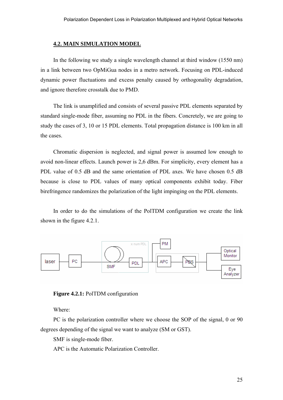#### **4.2. MAIN SIMULATION MODEL**

In the following we study a single wavelength channel at third window (1550 nm) in a link between two OpMiGua nodes in a metro network. Focusing on PDL-induced dynamic power fluctuations and excess penalty caused by orthogonality degradation, and ignore therefore crosstalk due to PMD.

The link is unamplified and consists of several passive PDL elements separated by standard single-mode fiber, assuming no PDL in the fibers. Concretely, we are going to study the cases of 3, 10 or 15 PDL elements. Total propagation distance is 100 km in all the cases.

Chromatic dispersion is neglected, and signal power is assumed low enough to avoid non-linear effects. Launch power is 2,6 dBm. For simplicity, every element has a PDL value of 0.5 dB and the same orientation of PDL axes. We have chosen 0.5 dB because is close to PDL values of many optical components exhibit today. Fiber birefringence randomizes the polarization of the light impinging on the PDL elements.

In order to do the simulations of the PolTDM configuration we create the link shown in the figure 4.2.1.



**Figure 4.2.1:** PolTDM configuration

Where:

PC is the polarization controller where we choose the SOP of the signal, 0 or 90 degrees depending of the signal we want to analyze (SM or GST).

SMF is single-mode fiber.

APC is the Automatic Polarization Controller.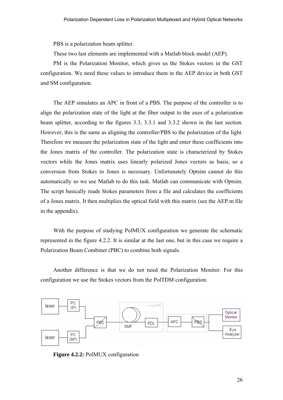PBS is a polarization beam splitter.

These two last elements are implemented with a Matlab block model (AEP).

PM is the Polarization Monitor, which gives us the Stokes vectors in the GST configuration. We need these values to introduce them in the AEP device in both GST and SM configuration.

The AEP simulates an APC in front of a PBS. The purpose of the controller is to align the polarization state of the light at the fiber output to the axes of a polarization beam splitter, according to the figures 3.3, 3.3.1 and 3.3.2 shown in the last section. However, this is the same as aligning the controller/PBS to the polarization of the light. Therefore we measure the polarization state of the light and enter these coefficients into the Jones matrix of the controller. The polarization state is characterized by Stokes vectors while the Jones matrix uses linearly polarized Jones vectors as basis, so a conversion from Stokes to Jones is necessary. Unfortunately Optsim cannot do this automatically so we use Matlab to do this task. Matlab can communicate with Optsim. The script basically reads Stokes parameters from a file and calculates the coefficients of a Jones matrix. It then multiplies the optical field with this matrix (see the AEP.m file in the appendix).

With the purpose of studying PolMUX configuration we generate the schematic represented in the figure 4.2.2. It is similar at the last one, but in this case we require a Polarization Beam Combiner (PBC) to combine both signals.

Another difference is that we do not need the Polarization Monitor. For this configuration we use the Stokes vectors from the PolTDM configuration.



**Figure 4.2.2:** PolMUX configuration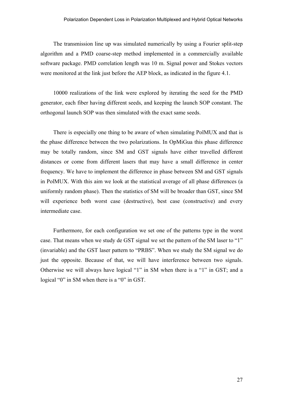The transmission line up was simulated numerically by using a Fourier split-step algorithm and a PMD coarse-step method implemented in a commercially available software package. PMD correlation length was 10 m. Signal power and Stokes vectors were monitored at the link just before the AEP block, as indicated in the figure 4.1.

10000 realizations of the link were explored by iterating the seed for the PMD generator, each fiber having different seeds, and keeping the launch SOP constant. The orthogonal launch SOP was then simulated with the exact same seeds.

There is especially one thing to be aware of when simulating PolMUX and that is the phase difference between the two polarizations. In OpMiGua this phase difference may be totally random, since SM and GST signals have either travelled different distances or come from different lasers that may have a small difference in center frequency. We have to implement the difference in phase between SM and GST signals in PolMUX. With this aim we look at the statistical average of all phase differences (a uniformly random phase). Then the statistics of SM will be broader than GST, since SM will experience both worst case (destructive), best case (constructive) and every intermediate case.

Furthermore, for each configuration we set one of the patterns type in the worst case. That means when we study de GST signal we set the pattern of the SM laser to "1" (invariable) and the GST laser pattern to "PRBS". When we study the SM signal we do just the opposite. Because of that, we will have interference between two signals. Otherwise we will always have logical "1" in SM when there is a "1" in GST; and a logical "0" in SM when there is a "0" in GST.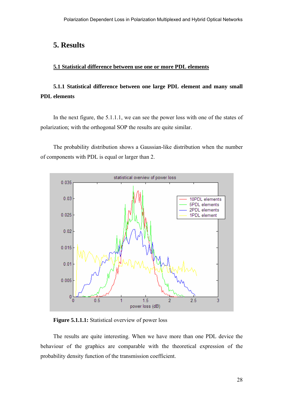## **5. Results**

## **5.1 Statistical difference between use one or more PDL elements**

## **5.1.1 Statistical difference between one large PDL element and many small PDL elements**

In the next figure, the 5.1.1.1, we can see the power loss with one of the states of polarization; with the orthogonal SOP the results are quite similar.

The probability distribution shows a Gaussian-like distribution when the number of components with PDL is equal or larger than 2.



**Figure 5.1.1.1:** Statistical overview of power loss

The results are quite interesting. When we have more than one PDL device the behaviour of the graphics are comparable with the theoretical expression of the probability density function of the transmission coefficient.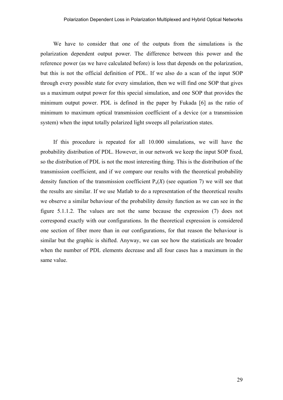We have to consider that one of the outputs from the simulations is the polarization dependent output power. The difference between this power and the reference power (as we have calculated before) is loss that depends on the polarization, but this is not the official definition of PDL. If we also do a scan of the input SOP through every possible state for every simulation, then we will find one SOP that gives us a maximum output power for this special simulation, and one SOP that provides the minimum output power. PDL is defined in the paper by Fukada [6] as the ratio of minimum to maximum optical transmission coefficient of a device (or a transmission system) when the input totally polarized light sweeps all polarization states.

If this procedure is repeated for all 10.000 simulations, we will have the probability distribution of PDL. However, in our network we keep the input SOP fixed, so the distribution of PDL is not the most interesting thing. This is the distribution of the transmission coefficient, and if we compare our results with the theoretical probability density function of the transmission coefficient  $P_x(X)$  (see equation 7) we will see that the results are similar. If we use Matlab to do a representation of the theoretical results we observe a similar behaviour of the probability density function as we can see in the figure 5.1.1.2. The values are not the same because the expression (7) does not correspond exactly with our configurations. In the theoretical expression is considered one section of fiber more than in our configurations, for that reason the behaviour is similar but the graphic is shifted. Anyway, we can see how the statisticals are broader when the number of PDL elements decrease and all four cases has a maximum in the same value.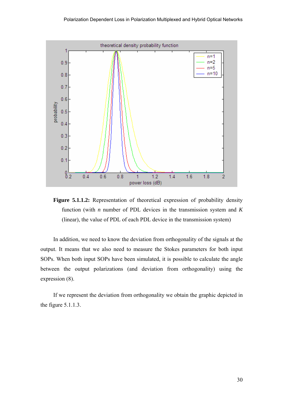

**Figure 5.1.1.2:** Representation of theoretical expression of probability density function (with *n* number of PDL devices in the transmission system and *K* (linear), the value of PDL of each PDL device in the transmission system)

In addition, we need to know the deviation from orthogonality of the signals at the output. It means that we also need to measure the Stokes parameters for both input SOPs. When both input SOPs have been simulated, it is possible to calculate the angle between the output polarizations (and deviation from orthogonality) using the expression (8).

If we represent the deviation from orthogonality we obtain the graphic depicted in the figure 5.1.1.3.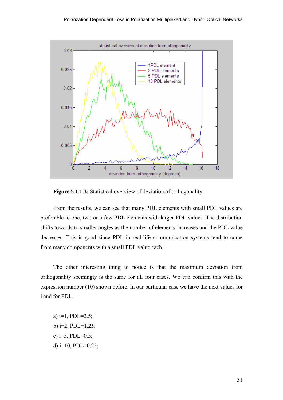

**Figure 5.1.1.3:** Statistical overview of deviation of orthogonality

From the results, we can see that many PDL elements with small PDL values are preferable to one, two or a few PDL elements with larger PDL values. The distribution shifts towards to smaller angles as the number of elements increases and the PDL value decreases. This is good since PDL in real-life communication systems tend to come from many components with a small PDL value each.

The other interesting thing to notice is that the maximum deviation from orthogonality seemingly is the same for all four cases. We can confirm this with the expression number (10) shown before. In our particular case we have the next values for i and for PDL.

a)  $i=1$ , PDL=2.5; b)  $i=2$ , PDL=1.25; c)  $i=5$ , PDL=0.5; d)  $i=10$ , PDL=0.25;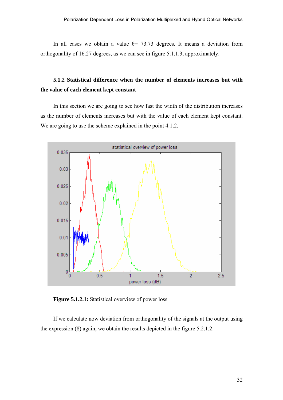In all cases we obtain a value  $\theta$  = 73.73 degrees. It means a deviation from orthogonality of 16.27 degrees, as we can see in figure 5.1.1.3, approximately.

## **5.1.2 Statistical difference when the number of elements increases but with the value of each element kept constant**

In this section we are going to see how fast the width of the distribution increases as the number of elements increases but with the value of each element kept constant. We are going to use the scheme explained in the point 4.1.2.



**Figure 5.1.2.1:** Statistical overview of power loss

If we calculate now deviation from orthogonality of the signals at the output using the expression (8) again, we obtain the results depicted in the figure 5.2.1.2.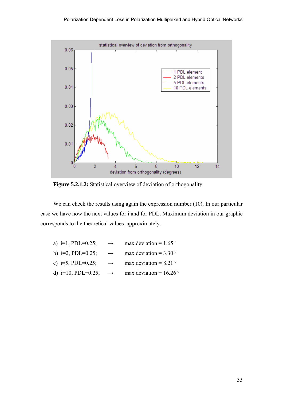

**Figure 5.2.1.2:** Statistical overview of deviation of orthogonality

We can check the results using again the expression number (10). In our particular case we have now the next values for i and for PDL. Maximum deviation in our graphic corresponds to the theoretical values, approximately.

| a) $i=1$ , PDL=0.25;  | $\rightarrow$ | max deviation = $1.65$ <sup>o</sup> |
|-----------------------|---------------|-------------------------------------|
| b) i=2, PDL=0.25;     | $\rightarrow$ | max deviation = $3.30^{\circ}$      |
| c) i=5, PDL=0.25;     | $\rightarrow$ | max deviation = $8.21$ <sup>o</sup> |
| d) $i=10$ , PDL=0.25; | $\rightarrow$ | max deviation = $16.26$ °           |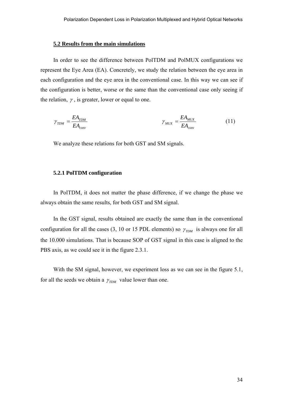#### **5.2 Results from the main simulations**

In order to see the difference between PolTDM and PolMUX configurations we represent the Eye Area (EA). Concretely, we study the relation between the eye area in each configuration and the eye area in the conventional case. In this way we can see if the configuration is better, worse or the same than the conventional case only seeing if the relation,  $\gamma$ , is greater, lower or equal to one.

$$
\gamma_{TDM} = \frac{EA_{TDM}}{EA_{conv}} \qquad \gamma_{MUX} = \frac{EA_{MUX}}{EA_{conv}} \qquad (11)
$$

We analyze these relations for both GST and SM signals.

#### **5.2.1 PolTDM configuration**

In PolTDM, it does not matter the phase difference, if we change the phase we always obtain the same results, for both GST and SM signal.

In the GST signal, results obtained are exactly the same than in the conventional configuration for all the cases (3, 10 or 15 PDL elements) so  $\gamma_{TDM}$  is always one for all the 10.000 simulations. That is because SOP of GST signal in this case is aligned to the PBS axis, as we could see it in the figure 2.3.1.

With the SM signal, however, we experiment loss as we can see in the figure 5.1, for all the seeds we obtain a  $\gamma_{TDM}$  value lower than one.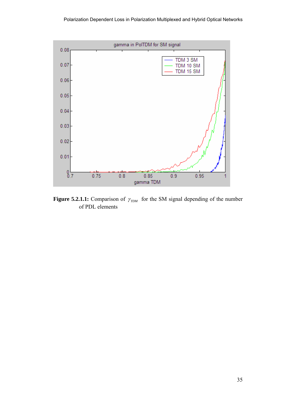

**Figure 5.2.1.1:** Comparison of  $\gamma_{TDM}$  for the SM signal depending of the number of PDL elements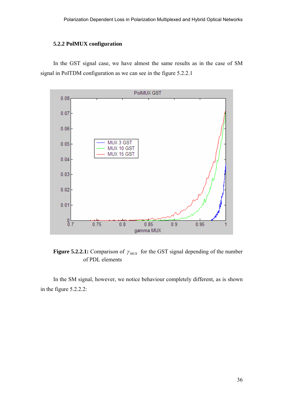### **5.2.2 PolMUX configuration**

In the GST signal case, we have almost the same results as in the case of SM signal in PolTDM configuration as we can see in the figure 5.2.2.1



**Figure 5.2.2.1:** Comparison of  $\gamma_{MIX}$  for the GST signal depending of the number of PDL elements

In the SM signal, however, we notice behaviour completely different, as is shown in the figure 5.2.2.2: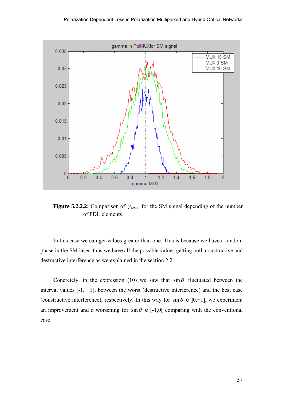

**Figure 5.2.2.2:** Comparison of  $\gamma_{MIX}$  for the SM signal depending of the number of PDL elements

In this case we can get values greater than one. This is because we have a random phase in the SM laser, thus we have all the possible values getting both constructive and destructive interference as we explained in the section 2.2.

Concretely, in the expression (10) we saw that  $\sin \theta$  fluctuated between the interval values [-1, +1], between the worst (destructive interference) and the best case (constructive interference), respectively. In this way for  $\sin \theta \in [0, +1]$ , we experiment an improvement and a worsening for  $\sin \theta \in [-1,0]$  comparing with the conventional case.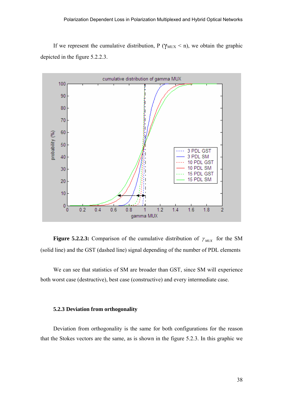If we represent the cumulative distribution, P ( $\gamma_{\text{MUX}}$  < n), we obtain the graphic depicted in the figure 5.2.2.3.



**Figure 5.2.2.3:** Comparison of the cumulative distribution of  $\gamma_{MUX}$  for the SM (solid line) and the GST (dashed line) signal depending of the number of PDL elements

We can see that statistics of SM are broader than GST, since SM will experience both worst case (destructive), best case (constructive) and every intermediate case.

#### **5.2.3 Deviation from orthogonality**

Deviation from orthogonality is the same for both configurations for the reason that the Stokes vectors are the same, as is shown in the figure 5.2.3. In this graphic we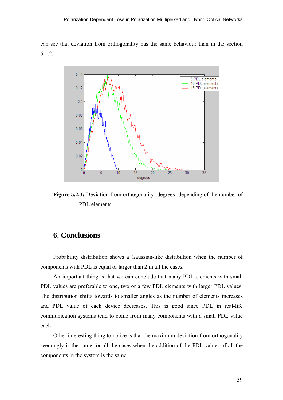can see that deviation from orthogonality has the same behaviour than in the section 5.1.2.



**Figure 5.2.3:** Deviation from orthogonality (degrees) depending of the number of PDL elements

## **6. Conclusions**

Probability distribution shows a Gaussian-like distribution when the number of components with PDL is equal or larger than 2 in all the cases.

An important thing is that we can conclude that many PDL elements with small PDL values are preferable to one, two or a few PDL elements with larger PDL values. The distribution shifts towards to smaller angles as the number of elements increases and PDL value of each device decreases. This is good since PDL in real-life communication systems tend to come from many components with a small PDL value each.

Other interesting thing to notice is that the maximum deviation from orthogonality seemingly is the same for all the cases when the addition of the PDL values of all the components in the system is the same.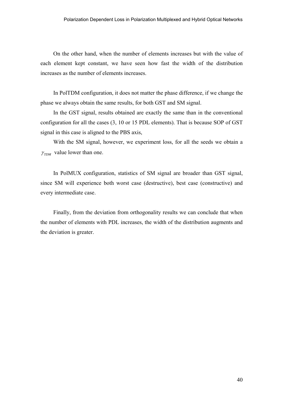On the other hand, when the number of elements increases but with the value of each element kept constant, we have seen how fast the width of the distribution increases as the number of elements increases.

In PolTDM configuration, it does not matter the phase difference, if we change the phase we always obtain the same results, for both GST and SM signal.

In the GST signal, results obtained are exactly the same than in the conventional configuration for all the cases (3, 10 or 15 PDL elements). That is because SOP of GST signal in this case is aligned to the PBS axis,

With the SM signal, however, we experiment loss, for all the seeds we obtain a  $\gamma_{TDM}$  value lower than one.

In PolMUX configuration, statistics of SM signal are broader than GST signal, since SM will experience both worst case (destructive), best case (constructive) and every intermediate case.

Finally, from the deviation from orthogonality results we can conclude that when the number of elements with PDL increases, the width of the distribution augments and the deviation is greater.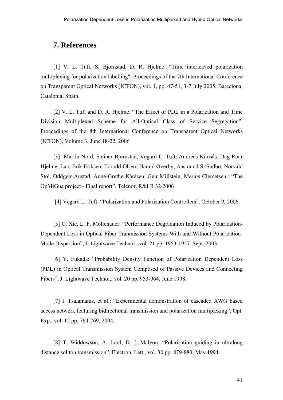## **7. References**

[1] V. L. Tuft, S. Bjornstad, D. R. Hjelme: "Time interleaved polarization multiplexing for polarization labelling", Proceedings of the 7th International Conference on Transparent Optical Networks (ICTON), vol. 1, pp. 47-51, 3-7 July 2005, Barcelona, Catalonia, Spain.

[2] V. L. Tuft and D. R. Hjelme. "The Effect of PDL in a Polarization and Time Division Multiplexed Scheme for All-Optical Class of Service Segregation". Proceedings of the 8th International Conference on Transparent Optical Networks (ICTON), Volume 3, June 18-22, 2006

[3] Martin Nord, Steinar Bjørnstad, Vegard L. Tuft, Andreas Kimsås, Dag Roar Hjelme, Lars Erik Eriksen, Torodd Olsen, Harald Øverby, Aasmund S. Sudbø, Norvald Stol, Oddgeir Austad, Anne-Grethe Kåråsen, Geir Millstein, Marius Clemetsen.: "The OpMiGua project - Final report". Telenor. R&I R 32/2006

[4] Vegard L. Tuft: "Polarization and Polarization Controllers". October 9, 2006

[5] C. Xie, L. F. Mollenauer: "Performance Degradation Induced by Polarization-Dependent Loss in Optical Fiber Tranmission Systems With and Without Polarization-Mode Dispersion", J. Lightwave Technol., vol. 21 pp. 1953-1957, Sept. 2003.

[6] Y. Fukada: "Probability Density Function of Polarization Dependent Loss (PDL) in Optical Transmission System Composed of Passive Devices and Connecting Fibers", J. Lightwave Technol., vol. 20 pp. 953-964, June 1998.

[7] I. Tsalamanis, et al.: "Experimental demonstration of cascaded AWG based access network featuring bidirectional transmission and polarization multiplexing", Opt. Exp., vol. 12 pp. 764-769, 2004.

[8] T. Widdowson, A. Lord, D. J. Malyon: "Polarisation guiding in ultralong distance soliton transmission", Electron. Lett., vol. 30 pp. 879-880, May 1994.

41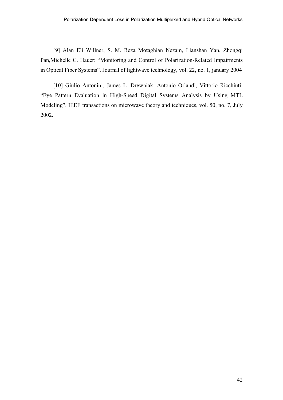[9] Alan Eli Willner, S. M. Reza Motaghian Nezam, Lianshan Yan, Zhongqi Pan,Michelle C. Hauer: "Monitoring and Control of Polarization-Related Impairments in Optical Fiber Systems". Journal of lightwave technology, vol. 22, no. 1, january 2004

[10] Giulio Antonini, James L. Drewniak, Antonio Orlandi, Vittorio Ricchiuti: "Eye Pattern Evaluation in High-Speed Digital Systems Analysis by Using MTL Modeling". IEEE transactions on microwave theory and techniques, vol. 50, no. 7, July 2002.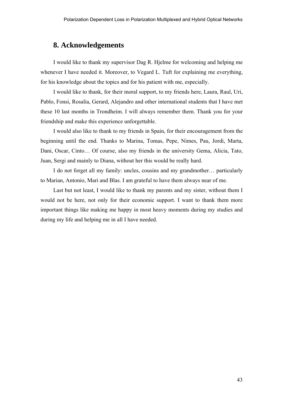## **8. Acknowledgements**

I would like to thank my supervisor Dag R. Hjelme for welcoming and helping me whenever I have needed it. Moreover, to Vegard L. Tuft for explaining me everything, for his knowledge about the topics and for his patient with me, especially.

I would like to thank, for their moral support, to my friends here, Laura, Raul, Uri, Pablo, Fonsi, Rosalia, Gerard, Alejandro and other international students that I have met these 10 last months in Trondheim. I will always remember them. Thank you for your friendship and make this experience unforgettable.

I would also like to thank to my friends in Spain, for their encouragement from the beginning until the end. Thanks to Marina, Tomas, Pepe, Nimes, Pau, Jordi, Marta, Dani, Oscar, Cinto… Of course, also my friends in the university Gema, Alicia, Tato, Juan, Sergi and mainly to Diana, without her this would be really hard.

I do not forget all my family: uncles, cousins and my grandmother… particularly to Marian, Antonio, Mari and Blas. I am grateful to have them always near of me.

Last but not least, I would like to thank my parents and my sister, without them I would not be here, not only for their economic support. I want to thank them more important things like making me happy in most heavy moments during my studies and during my life and helping me in all I have needed.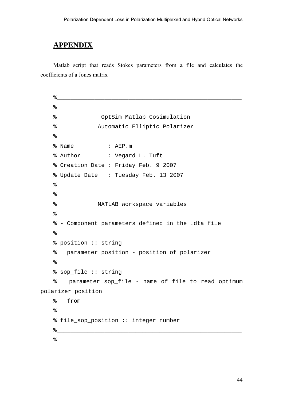## **APPENDIX**

Matlab script that reads Stokes parameters from a file and calculates the coefficients of a Jones matrix

```
\frac{9}{6}\epsilon% OptSim Matlab Cosimulation 
   % Automatic Elliptic Polarizer 
   \epsilon% Name : AEP.m 
   % Author : Vegard L. Tuft 
   % Creation Date : Friday Feb. 9 2007 
   % Update Date : Tuesday Feb. 13 2007 
    %______________________________________________________ 
   \epsilon% MATLAB workspace variables 
   \epsilon% - Component parameters defined in the .dta file 
   \epsilon% position :: string 
   % parameter position - position of polarizer 
   \epsilon% sop_file :: string 
   % parameter sop_file - name of file to read optimum 
polarizer position 
   % from 
   \approx% file_sop_position :: integer number 
    %______________________________________________________ 
   \epsilon
```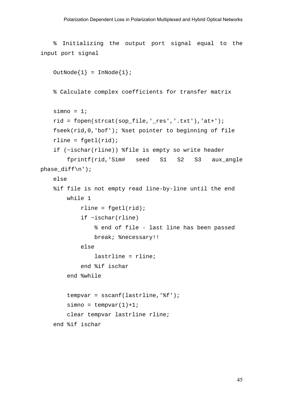```
% Initializing the output port signal equal to the 
input port signal
```

```
OutNode\{1\} = InNode\{1\};
    % Calculate complex coefficients for transfer matrix 
    simno = 1;rid = fopen(strcat(sop_file,'_res','.txt'),'at+'); 
    fseek(rid,0,'bof'); %set pointer to beginning of file 
    rline = fgetl(rid);if (~ischar(rline)) %file is empty so write header 
         fprintf(rid,'Sim# seed S1 S2 S3 aux_angle 
phase_diff\n'); 
    else 
    %if file is not empty read line-by-line until the end 
         while 1 
            rline = fqet1(rid); if ~ischar(rline) 
                 % end of file - last line has been passed 
                 break; %necessary!! 
             else 
                 lastrline = rline; 
             end %if ischar 
         end %while 
        tempvar = sscanf(lastline,' \f ');
        simo = temperature(1)+1; clear tempvar lastrline rline; 
    end %if ischar
```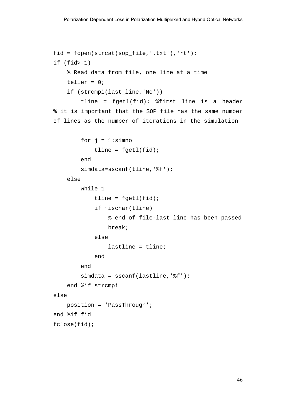```
fid = fopen(strcat(sop_file,'.txt'),'rt'); 
if (fid > -1) % Read data from file, one line at a time 
    teller = 0; if (strcmpi(last_line,'No')) 
         tline = fgetl(fid); %first line is a header 
% it is important that the SOP file has the same number 
of lines as the number of iterations in the simulation 
        for j = 1: simno
            tline = fgetl(fid); end 
        simdata=sscanf(tline,'%f');
     else 
         while 1 
             tline = fgetl(fid); if ~ischar(tline) 
                  % end of file-last line has been passed 
                  break; 
             else 
                  lastline = tline; 
              end 
         end 
        simdata = sscanf(lastline,'%f'); end %if strcmpi 
else 
     position = 'PassThrough'; 
end %if fid 
fclose(fid);
```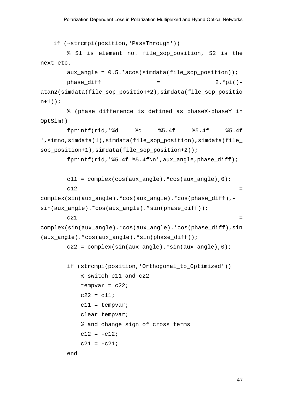if (~strcmpi(position,'PassThrough'))

 % S1 is element no. file\_sop\_position, S2 is the next etc.

 $aux\_angle = 0.5.*acos(simdata(file\_sop\_position))$ ;  $phase\_diff$  = 2.\*pi()atan2(simdata(file\_sop\_position+2),simdata(file\_sop\_positio  $n+1)$ );

 % (phase difference is defined as phaseX-phaseY in OptSim!)

 fprintf(rid,'%d %d %5.4f %5.4f %5.4f ',simno,simdata(1),simdata(file\_sop\_position),simdata(file\_ sop position+1), simdata(file sop position+2));

fprintf(rid,'%5.4f  $$5.4f\n$ ', aux angle, phase diff);

 $c11 = complex(cos(aux_andle).*cos(aux_andle),0);$  $c12$   $=$ 

```
complex(sin(aux_angle).*cos(aux_angle).*cos(phase_diff),-
sin(aux_angle).*cos(aux_angle).*sin(phase_diff));
```

```
c21 =
```

```
complex(sin(aux_angle).*cos(aux_angle).*cos(phase_diff),sin
(aux_angle).*cos(aux_angle).*sin(phase_diff));
```
 $c22 = complex(sin(aux_andle)...*sin(aux_andle),0);$ 

```
 if (strcmpi(position,'Orthogonal_to_Optimized')) 
     % switch c11 and c22 
    tempvar = c22;
    c22 = c11;c11 = tempvar;
     clear tempvar; 
     % and change sign of cross terms 
    c12 = -c12;c21 = -c21;
```
end